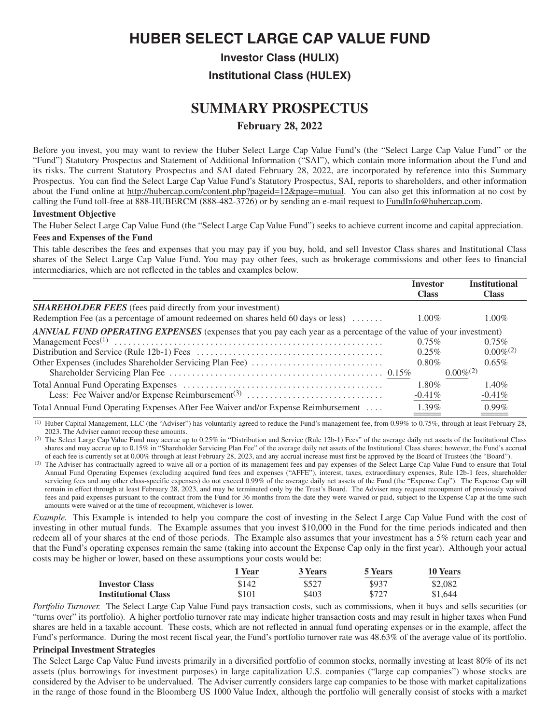# **HUBER SELECT LARGE CAP VALUE FUND**

**Investor Class (HULIX)**

**Institutional Class (HULEX)**

## **SUMMARY PROSPECTUS**

## **February 28, 2022**

Before you invest, you may want to review the Huber Select Large Cap Value Fund's (the "Select Large Cap Value Fund" or the "Fund") Statutory Prospectus and Statement of Additional Information ("SAI"), which contain more information about the Fund and its risks. The current Statutory Prospectus and SAI dated February 28, 2022, are incorporated by reference into this Summary Prospectus. You can find the Select Large Cap Value Fund's Statutory Prospectus, SAI, reports to shareholders, and other information about the Fund online at http://hubercap.com/content.php?pageid=12&page=mutual. You can also get this information at no cost by calling the Fund toll-free at 888-HUBERCM (888-482-3726) or by sending an e-mail request to [FundInfo@hubercap.com.](FundInfo@hubercap.com)

#### **Investment Objective**

The Huber Select Large Cap Value Fund (the "Select Large Cap Value Fund") seeks to achieve current income and capital appreciation.

#### **Fees and Expenses of the Fund**

This table describes the fees and expenses that you may pay if you buy, hold, and sell Investor Class shares and Institutional Class shares of the Select Large Cap Value Fund. You may pay other fees, such as brokerage commissions and other fees to financial intermediaries, which are not reflected in the tables and examples below.

|                                                                                                                         | <b>Investor</b> | <b>Institutional</b> |
|-------------------------------------------------------------------------------------------------------------------------|-----------------|----------------------|
|                                                                                                                         | <b>Class</b>    | <b>Class</b>         |
| <b>SHAREHOLDER FEES</b> (fees paid directly from your investment)                                                       |                 |                      |
| Redemption Fee (as a percentage of amount redeemed on shares held 60 days or less)                                      | $1.00\%$        | $1.00\%$             |
| <b>ANNUAL FUND OPERATING EXPENSES</b> (expenses that you pay each year as a percentage of the value of your investment) |                 |                      |
|                                                                                                                         | $0.75\%$        | $0.75\%$             |
|                                                                                                                         | $0.25\%$        | $0.00\%^{(2)}$       |
|                                                                                                                         | $0.80\%$        | $0.65\%$             |
|                                                                                                                         |                 | $0.00\%^{(2)}$       |
|                                                                                                                         | 1.80%           | $1.40\%$             |
|                                                                                                                         | $-0.41\%$       | $-0.41%$             |
| Total Annual Fund Operating Expenses After Fee Waiver and/or Expense Reimbursement                                      | 1.39%           | 0.99%<br>====        |

(1) Huber Capital Management, LLC (the "Adviser") has voluntarily agreed to reduce the Fund's management fee, from 0.99% to 0.75%, through at least February 28, 2023. The Adviser cannot recoup these amounts.

(2) The Select Large Cap Value Fund may accrue up to 0.25% in "Distribution and Service (Rule 12b-1) Fees" of the average daily net assets of the Institutional Class shares and may accrue up to 0.15% in "Shareholder Servicing Plan Fee" of the average daily net assets of the Institutional Class shares; however, the Fund's accrual of each fee is currently set at 0.00% through at least February 28, 2023, and any accrual increase must first be approved by the Board of Trustees (the "Board").

(3) The Adviser has contractually agreed to waive all or a portion of its management fees and pay expenses of the Select Large Cap Value Fund to ensure that Total Annual Fund Operating Expenses (excluding acquired fund fees and expenses ("AFFE"), interest, taxes, extraordinary expenses, Rule 12b-1 fees, shareholder servicing fees and any other class-specific expenses) do not exceed 0.99% of the average daily net assets of the Fund (the "Expense Cap"). The Expense Cap will remain in effect through at least February 28, 2023, and may be terminated only by the Trust's Board. The Adviser may request recoupment of previously waived fees and paid expenses pursuant to the contract from the Fund for 36 months from the date they were waived or paid, subject to the Expense Cap at the time such amounts were waived or at the time of recoupment, whichever is lower.

*Example.* This Example is intended to help you compare the cost of investing in the Select Large Cap Value Fund with the cost of investing in other mutual funds. The Example assumes that you invest \$10,000 in the Fund for the time periods indicated and then redeem all of your shares at the end of those periods. The Example also assumes that your investment has a 5% return each year and that the Fund's operating expenses remain the same (taking into account the Expense Cap only in the first year). Although your actual costs may be higher or lower, based on these assumptions your costs would be:

|                            | 1 Year | <b>3 Years</b> | 5 Years | <b>10 Years</b> |
|----------------------------|--------|----------------|---------|-----------------|
| <b>Investor Class</b>      | \$142  | \$527          | \$937   | \$2,082         |
| <b>Institutional Class</b> | \$101  | \$403          | \$727   | \$1,644         |

*Portfolio Turnover.* The Select Large Cap Value Fund pays transaction costs, such as commissions, when it buys and sells securities (or "turns over" its portfolio). A higher portfolio turnover rate may indicate higher transaction costs and may result in higher taxes when Fund shares are held in a taxable account. These costs, which are not reflected in annual fund operating expenses or in the example, affect the Fund's performance. During the most recent fiscal year, the Fund's portfolio turnover rate was 48.63% of the average value of its portfolio.

## **Principal Investment Strategies**

The Select Large Cap Value Fund invests primarily in a diversified portfolio of common stocks, normally investing at least 80% of its net assets (plus borrowings for investment purposes) in large capitalization U.S. companies ("large cap companies") whose stocks are considered by the Adviser to be undervalued. The Adviser currently considers large cap companies to be those with market capitalizations in the range of those found in the Bloomberg US 1000 Value Index, although the portfolio will generally consist of stocks with a market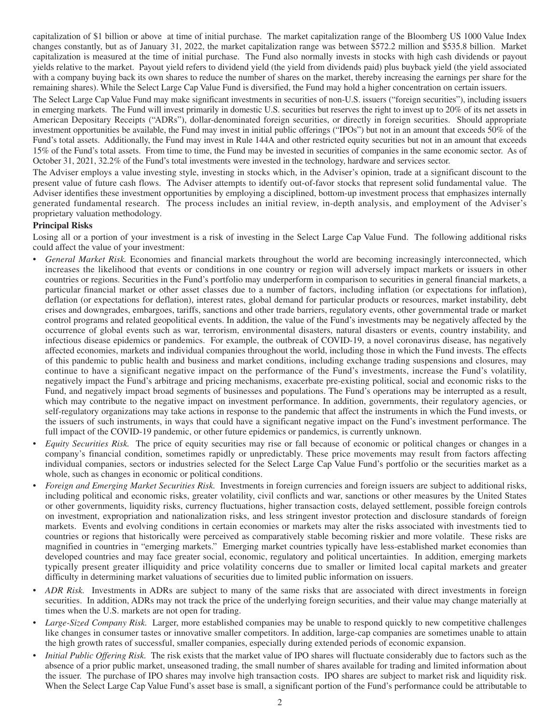capitalization of \$1 billion or above at time of initial purchase. The market capitalization range of the Bloomberg US 1000 Value Index changes constantly, but as of January 31, 2022, the market capitalization range was between \$572.2 million and \$535.8 billion. Market capitalization is measured at the time of initial purchase. The Fund also normally invests in stocks with high cash dividends or payout yields relative to the market. Payout yield refers to dividend yield (the yield from dividends paid) plus buyback yield (the yield associated with a company buying back its own shares to reduce the number of shares on the market, thereby increasing the earnings per share for the remaining shares). While the Select Large Cap Value Fund is diversified, the Fund may hold a higher concentration on certain issuers.

The Select Large Cap Value Fund may make significant investments in securities of non-U.S. issuers ("foreign securities"), including issuers in emerging markets. The Fund will invest primarily in domestic U.S. securities but reserves the right to invest up to 20% of its net assets in American Depositary Receipts ("ADRs"), dollar-denominated foreign securities, or directly in foreign securities. Should appropriate investment opportunities be available, the Fund may invest in initial public offerings ("IPOs") but not in an amount that exceeds 50% of the Fund's total assets. Additionally, the Fund may invest in Rule 144A and other restricted equity securities but not in an amount that exceeds 15% of the Fund's total assets. From time to time, the Fund may be invested in securities of companies in the same economic sector. As of October 31, 2021, 32.2% of the Fund's total investments were invested in the technology, hardware and services sector.

The Adviser employs a value investing style, investing in stocks which, in the Adviser's opinion, trade at a significant discount to the present value of future cash flows. The Adviser attempts to identify out-of-favor stocks that represent solid fundamental value. The Adviser identifies these investment opportunities by employing a disciplined, bottom-up investment process that emphasizes internally generated fundamental research. The process includes an initial review, in-depth analysis, and employment of the Adviser's proprietary valuation methodology.

## **Principal Risks**

Losing all or a portion of your investment is a risk of investing in the Select Large Cap Value Fund. The following additional risks could affect the value of your investment:

- *General Market Risk.* Economies and financial markets throughout the world are becoming increasingly interconnected, which increases the likelihood that events or conditions in one country or region will adversely impact markets or issuers in other countries or regions. Securities in the Fund's portfolio may underperform in comparison to securities in general financial markets, a particular financial market or other asset classes due to a number of factors, including inflation (or expectations for inflation), deflation (or expectations for deflation), interest rates, global demand for particular products or resources, market instability, debt crises and downgrades, embargoes, tariffs, sanctions and other trade barriers, regulatory events, other governmental trade or market control programs and related geopolitical events. In addition, the value of the Fund's investments may be negatively affected by the occurrence of global events such as war, terrorism, environmental disasters, natural disasters or events, country instability, and infectious disease epidemics or pandemics. For example, the outbreak of COVID-19, a novel coronavirus disease, has negatively affected economies, markets and individual companies throughout the world, including those in which the Fund invests. The effects of this pandemic to public health and business and market conditions, including exchange trading suspensions and closures, may continue to have a significant negative impact on the performance of the Fund's investments, increase the Fund's volatility, negatively impact the Fund's arbitrage and pricing mechanisms, exacerbate pre-existing political, social and economic risks to the Fund, and negatively impact broad segments of businesses and populations. The Fund's operations may be interrupted as a result, which may contribute to the negative impact on investment performance. In addition, governments, their regulatory agencies, or self-regulatory organizations may take actions in response to the pandemic that affect the instruments in which the Fund invests, or the issuers of such instruments, in ways that could have a significant negative impact on the Fund's investment performance. The full impact of the COVID-19 pandemic, or other future epidemics or pandemics, is currently unknown.
- *Equity Securities Risk.* The price of equity securities may rise or fall because of economic or political changes or changes in a company's financial condition, sometimes rapidly or unpredictably. These price movements may result from factors affecting individual companies, sectors or industries selected for the Select Large Cap Value Fund's portfolio or the securities market as a whole, such as changes in economic or political conditions.
- *Foreign and Emerging Market Securities Risk.* Investments in foreign currencies and foreign issuers are subject to additional risks, including political and economic risks, greater volatility, civil conflicts and war, sanctions or other measures by the United States or other governments, liquidity risks, currency fluctuations, higher transaction costs, delayed settlement, possible foreign controls on investment, expropriation and nationalization risks, and less stringent investor protection and disclosure standards of foreign markets. Events and evolving conditions in certain economies or markets may alter the risks associated with investments tied to countries or regions that historically were perceived as comparatively stable becoming riskier and more volatile. These risks are magnified in countries in "emerging markets." Emerging market countries typically have less-established market economies than developed countries and may face greater social, economic, regulatory and political uncertainties. In addition, emerging markets typically present greater illiquidity and price volatility concerns due to smaller or limited local capital markets and greater difficulty in determining market valuations of securities due to limited public information on issuers.
- *ADR Risk.* Investments in ADRs are subject to many of the same risks that are associated with direct investments in foreign securities. In addition, ADRs may not track the price of the underlying foreign securities, and their value may change materially at times when the U.S. markets are not open for trading.
- *Large-Sized Company Risk.* Larger, more established companies may be unable to respond quickly to new competitive challenges like changes in consumer tastes or innovative smaller competitors. In addition, large-cap companies are sometimes unable to attain the high growth rates of successful, smaller companies, especially during extended periods of economic expansion.
- *Initial Public Offering Risk.* The risk exists that the market value of IPO shares will fluctuate considerably due to factors such as the absence of a prior public market, unseasoned trading, the small number of shares available for trading and limited information about the issuer. The purchase of IPO shares may involve high transaction costs. IPO shares are subject to market risk and liquidity risk. When the Select Large Cap Value Fund's asset base is small, a significant portion of the Fund's performance could be attributable to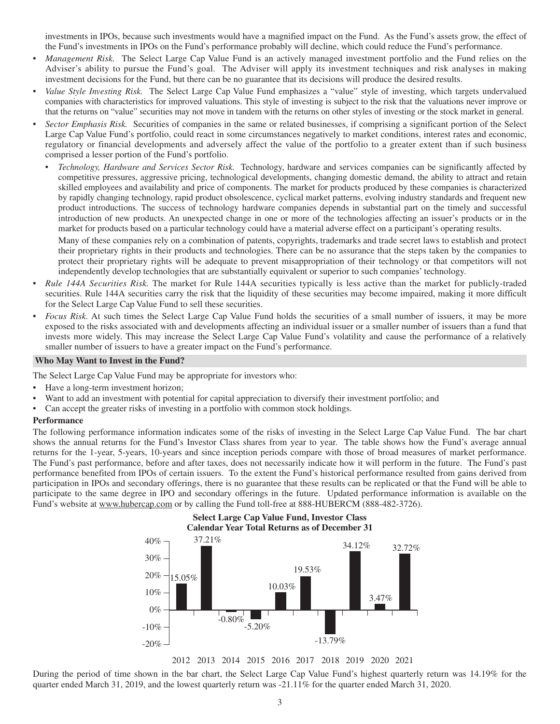investments in IPOs, because such investments would have a magnified impact on the Fund. As the Fund's assets grow, the effect of the Fund's investments in IPOs on the Fund's performance probably will decline, which could reduce the Fund's performance.

- *Management Risk.* The Select Large Cap Value Fund is an actively managed investment portfolio and the Fund relies on the Adviser's ability to pursue the Fund's goal. The Adviser will apply its investment techniques and risk analyses in making investment decisions for the Fund, but there can be no guarantee that its decisions will produce the desired results.
- *Value Style Investing Risk.* The Select Large Cap Value Fund emphasizes a "value" style of investing, which targets undervalued companies with characteristics for improved valuations. This style of investing is subject to the risk that the valuations never improve or that the returns on "value" securities may not move in tandem with the returns on other styles of investing or the stock market in general.
- *Sector Emphasis Risk.* Securities of companies in the same or related businesses, if comprising a significant portion of the Select Large Cap Value Fund's portfolio, could react in some circumstances negatively to market conditions, interest rates and economic, regulatory or financial developments and adversely affect the value of the portfolio to a greater extent than if such business comprised a lesser portion of the Fund's portfolio.
	- *Technology, Hardware and Services Sector Risk.* Technology, hardware and services companies can be significantly affected by competitive pressures, aggressive pricing, technological developments, changing domestic demand, the ability to attract and retain skilled employees and availability and price of components. The market for products produced by these companies is characterized by rapidly changing technology, rapid product obsolescence, cyclical market patterns, evolving industry standards and frequent new product introductions. The success of technology hardware companies depends in substantial part on the timely and successful introduction of new products. An unexpected change in one or more of the technologies affecting an issuer's products or in the market for products based on a particular technology could have a material adverse effect on a participant's operating results.

Many of these companies rely on a combination of patents, copyrights, trademarks and trade secret laws to establish and protect their proprietary rights in their products and technologies. There can be no assurance that the steps taken by the companies to protect their proprietary rights will be adequate to prevent misappropriation of their technology or that competitors will not independently develop technologies that are substantially equivalent or superior to such companies' technology.

- *Rule 144A Securities Risk.* The market for Rule 144A securities typically is less active than the market for publicly-traded securities. Rule 144A securities carry the risk that the liquidity of these securities may become impaired, making it more difficult for the Select Large Cap Value Fund to sell these securities.
- *Focus Risk.* At such times the Select Large Cap Value Fund holds the securities of a small number of issuers, it may be more exposed to the risks associated with and developments affecting an individual issuer or a smaller number of issuers than a fund that invests more widely. This may increase the Select Large Cap Value Fund's volatility and cause the performance of a relatively smaller number of issuers to have a greater impact on the Fund's performance.

#### **Who May Want to Invest in the Fund?**

The Select Large Cap Value Fund may be appropriate for investors who:

- Have a long-term investment horizon;
- Want to add an investment with potential for capital appreciation to diversify their investment portfolio; and
- Can accept the greater risks of investing in a portfolio with common stock holdings.

#### **Performance**

The following performance information indicates some of the risks of investing in the Select Large Cap Value Fund. The bar chart shows the annual returns for the Fund's Investor Class shares from year to year. The table shows how the Fund's average annual returns for the 1-year, 5-years, 10-years and since inception periods compare with those of broad measures of market performance. The Fund's past performance, before and after taxes, does not necessarily indicate how it will perform in the future. The Fund's past performance benefited from IPOs of certain issuers. To the extent the Fund's historical performance resulted from gains derived from participation in IPOs and secondary offerings, there is no guarantee that these results can be replicated or that the Fund will be able to participate to the same degree in IPO and secondary offerings in the future. Updated performance information is available on the Fund's website at <www.hubercap.com> or by calling the Fund toll-free at 888-HUBERCM (888-482-3726).

**Select Large Cap Value Fund, Investor Class**



2012 2013 2014 2015 2016 2017 2018 2019 2020 2021

During the period of time shown in the bar chart, the Select Large Cap Value Fund's highest quarterly return was 14.19% for the quarter ended March 31, 2019, and the lowest quarterly return was -21.11% for the quarter ended March 31, 2020.